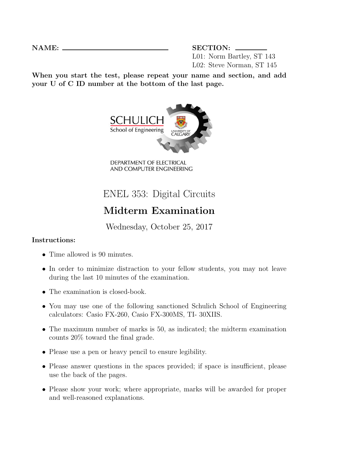NAME: SECTION: L01: Norm Bartley, ST 143 L02: Steve Norman, ST 145

When you start the test, please repeat your name and section, and add your U of C ID number at the bottom of the last page.



DEPARTMENT OF ELECTRICAL AND COMPUTER ENGINEERING

## ENEL 353: Digital Circuits

## Midterm Examination

Wednesday, October 25, 2017

## Instructions:

- Time allowed is 90 minutes.
- In order to minimize distraction to your fellow students, you may not leave during the last 10 minutes of the examination.
- The examination is closed-book.
- You may use one of the following sanctioned Schulich School of Engineering calculators: Casio FX-260, Casio FX-300MS, TI- 30XIIS.
- The maximum number of marks is 50, as indicated; the midterm examination counts 20% toward the final grade.
- Please use a pen or heavy pencil to ensure legibility.
- Please answer questions in the spaces provided; if space is insufficient, please use the back of the pages.
- Please show your work; where appropriate, marks will be awarded for proper and well-reasoned explanations.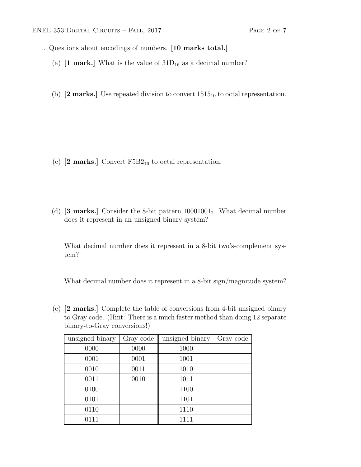- 1. Questions about encodings of numbers. [10 marks total.]
	- (a)  $[1 \text{ mark.}]$  What is the value of  $31D_{16}$  as a decimal number?
	- (b)  $[2 \text{ marks.}]$  Use repeated division to convert  $1515_{10}$  to octal representation.

- (c)  $[2 \text{ marks.}]$  Convert  $F5B2_{16}$  to octal representation.
- (d)  $[3 \text{ marks.}]$  Consider the 8-bit pattern  $10001001_2$ . What decimal number does it represent in an unsigned binary system?

What decimal number does it represent in a 8-bit two's-complement system?

What decimal number does it represent in a 8-bit sign/magnitude system?

(e) [2 marks.] Complete the table of conversions from 4-bit unsigned binary to Gray code. (Hint: There is a much faster method than doing 12 separate binary-to-Gray conversions!)

| unsigned binary | Gray code | unsigned binary | Gray code |
|-----------------|-----------|-----------------|-----------|
| 0000            | 0000      | 1000            |           |
| 0001            | 0001      | 1001            |           |
| 0010            | 0011      | 1010            |           |
| 0011            | 0010      | 1011            |           |
| 0100            |           | 1100            |           |
| 0101            |           | 1101            |           |
| 0110            |           | 1110            |           |
| 0111            |           | 1111            |           |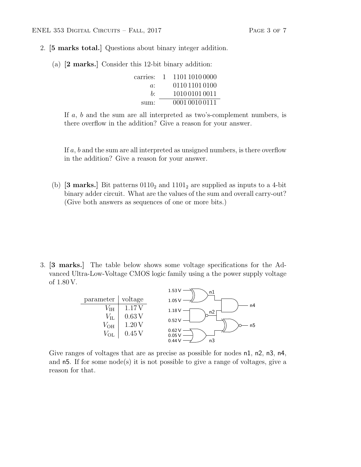- 2. [5 marks total.] Questions about binary integer addition.
	- (a) [2 marks.] Consider this 12-bit binary addition:

| carries: | $\mathbf{L}$ | 1101 1010 0000 |
|----------|--------------|----------------|
| $a$ :    |              | 011011010100   |
| b٠       |              | 1010 0101 0011 |
| sum:     |              | 0001 0010 0111 |

If a, b and the sum are all interpreted as two's-complement numbers, is there overflow in the addition? Give a reason for your answer.

If a, b and the sum are all interpreted as unsigned numbers, is there overflow in the addition? Give a reason for your answer.

(b) [3 marks.] Bit patterns  $0110<sub>2</sub>$  and  $1101<sub>2</sub>$  are supplied as inputs to a 4-bit binary adder circuit. What are the values of the sum and overall carry-out? (Give both answers as sequences of one or more bits.)

3. [3 marks.] The table below shows some voltage specifications for the Advanced Ultra-Low-Voltage CMOS logic family using a the power supply voltage of 1.80 V.



Give ranges of voltages that are as precise as possible for nodes  $n1$ ,  $n2$ ,  $n3$ ,  $n4$ , and  $n5$ . If for some node(s) it is not possible to give a range of voltages, give a reason for that.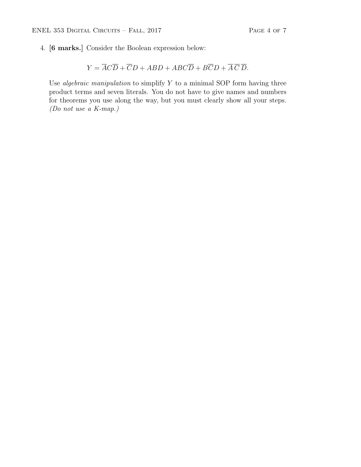4. [6 marks.] Consider the Boolean expression below:

$$
Y = \overline{A}\overline{C}\overline{D} + \overline{C}D + ABD + ABC\overline{D} + B\overline{C}D + \overline{A}\overline{C}\overline{D}.
$$

Use *algebraic manipulation* to simplify  $Y$  to a minimal SOP form having three product terms and seven literals. You do not have to give names and numbers for theorems you use along the way, but you must clearly show all your steps. (Do not use a K-map.)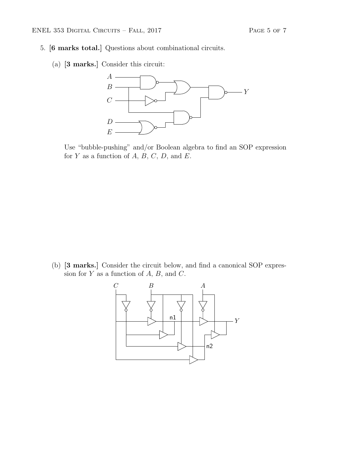- 5. [6 marks total.] Questions about combinational circuits.
	- (a) [3 marks.] Consider this circuit:



Use "bubble-pushing" and/or Boolean algebra to find an SOP expression for  $Y$  as a function of  $A, B, C, D$ , and  $E$ .

(b) [3 marks.] Consider the circuit below, and find a canonical SOP expression for  $Y$  as a function of  $A, B$ , and  $C$ .

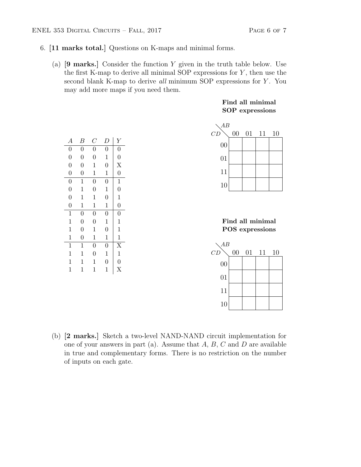- 6. [11 marks total.] Questions on K-maps and minimal forms.
	- (a) [9 marks.] Consider the function Y given in the truth table below. Use the first K-map to derive all minimal SOP expressions for  $Y$ , then use the second blank K-map to derive all minimum SOP expressions for Y. You may add more maps if you need them.

| $\boldsymbol{A}$ | В              | $\, C \,$      | $\overline{D}$ | Y                                    |
|------------------|----------------|----------------|----------------|--------------------------------------|
| $\overline{0}$   | $\overline{0}$ | $\overline{0}$ | $\overline{0}$ | $\overline{0}$                       |
| $\overline{0}$   | $\overline{0}$ | $\overline{0}$ | $\mathbf{1}$   | $\overline{0}$                       |
| $\overline{0}$   | $\overline{0}$ | $\mathbf{1}$   | $\overline{0}$ | $\begin{matrix} X \\ 0 \end{matrix}$ |
| $\overline{0}$   | $\overline{0}$ | $\mathbf{1}$   | $\mathbf 1$    |                                      |
| $\overline{0}$   | 1              | $\overline{0}$ | $\overline{0}$ | $\mathbf{1}$                         |
| $\overline{0}$   | $\mathbf 1$    | $\overline{0}$ | $\mathbf{1}$   | $\overline{0}$                       |
| $\overline{0}$   | $\mathbf{1}$   | $\mathbf{1}$   | $\overline{0}$ | $\mathbf{1}$                         |
| $\overline{0}$   | $\mathbf{1}$   | $\mathbf{1}$   | $\mathbf{1}$   | $\overline{0}$                       |
| $\mathbf{1}$     | $\overline{0}$ | $\overline{0}$ | $\overline{0}$ | $\overline{0}$                       |
| $\mathbf{1}$     | $\overline{0}$ | $\overline{0}$ | $\mathbf{1}$   | $\mathbf{1}$                         |
| $\mathbf{1}$     | $\overline{0}$ | $\mathbf{1}$   | $\overline{0}$ | $\mathbf{1}$                         |
| $\mathbf 1$      | $\overline{0}$ | $\mathbf 1$    | $\mathbf{1}$   | $\mathbf{1}$                         |
| $\mathbf{1}$     | $\mathbf 1$    | $\overline{0}$ | $\overline{0}$ | $\overline{\mathrm{X}}$              |
| $\mathbf{1}$     | 1              | $\overline{0}$ | $\mathbf 1$    | $\mathbf{1}$                         |
| $\mathbf{1}$     | 1              | 1              | $\overline{0}$ | $\overline{0}$                       |
| $\mathbf 1$      | 1              | 1              | 1              | X                                    |

## Find all minimal SOP expressions



Find all minimal POS expressions



(b) [2 marks.] Sketch a two-level NAND-NAND circuit implementation for one of your answers in part (a). Assume that  $A, B, C$  and  $D$  are available in true and complementary forms. There is no restriction on the number of inputs on each gate.